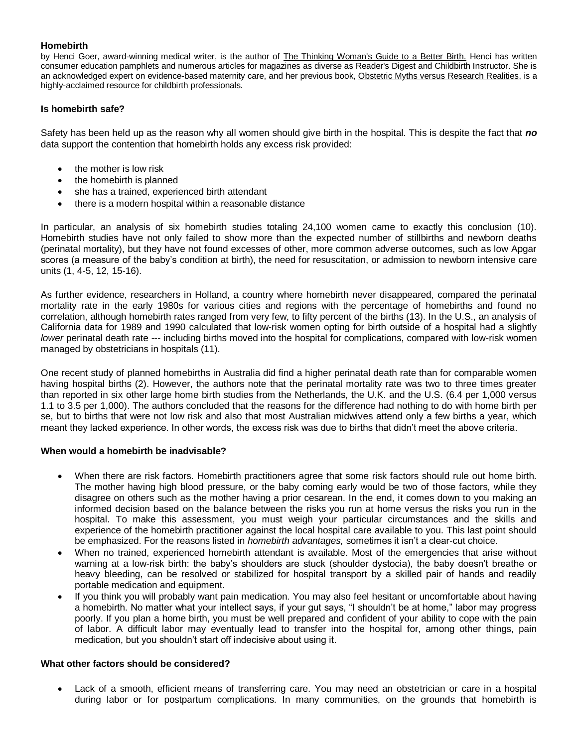# **Homebirth**

by Henci Goer, award-winning medical writer, is the author of [The Thinking Woman's Guide to a Better Birth.](http://www.amazon.com/exec/obidos/ASIN/0399525173/ivillagepp/) Henci has written consumer education pamphlets and numerous articles for magazines as diverse as Reader's Digest and Childbirth Instructor. She is an acknowledged expert on evidence-based maternity care, and her previous book, Obstetric Myths versus Research Realities, is a highly-acclaimed resource for childbirth professionals.

# **Is homebirth safe?**

Safety has been held up as the reason why all women should give birth in the hospital. This is despite the fact that *no* data support the contention that homebirth holds any excess risk provided:

- the mother is low risk
- the homebirth is planned
- she has a trained, experienced birth attendant
- there is a modern hospital within a reasonable distance

In particular, an analysis of six homebirth studies totaling 24,100 women came to exactly this conclusion (10). Homebirth studies have not only failed to show more than the expected number of stillbirths and newborn deaths (perinatal mortality), but they have not found excesses of other, more common adverse outcomes, such as low Apgar scores (a measure of the baby's condition at birth), the need for resuscitation, or admission to newborn intensive care units (1, 4-5, 12, 15-16).

As further evidence, researchers in Holland, a country where homebirth never disappeared, compared the perinatal mortality rate in the early 1980s for various cities and regions with the percentage of homebirths and found no correlation, although homebirth rates ranged from very few, to fifty percent of the births (13). In the U.S., an analysis of California data for 1989 and 1990 calculated that low-risk women opting for birth outside of a hospital had a slightly *lower* perinatal death rate --- including births moved into the hospital for complications, compared with low-risk women managed by obstetricians in hospitals (11).

One recent study of planned homebirths in Australia did find a higher perinatal death rate than for comparable women having hospital births (2). However, the authors note that the perinatal mortality rate was two to three times greater than reported in six other large home birth studies from the Netherlands, the U.K. and the U.S. (6.4 per 1,000 versus 1.1 to 3.5 per 1,000). The authors concluded that the reasons for the difference had nothing to do with home birth per se, but to births that were not low risk and also that most Australian midwives attend only a few births a year, which meant they lacked experience. In other words, the excess risk was due to births that didn't meet the above criteria.

#### **When would a homebirth be inadvisable?**

- When there are risk factors. Homebirth practitioners agree that some risk factors should rule out home birth. The mother having high blood pressure, or the baby coming early would be two of those factors, while they disagree on others such as the mother having a prior cesarean. In the end, it comes down to you making an informed decision based on the balance between the risks you run at home versus the risks you run in the hospital. To make this assessment, you must weigh your particular circumstances and the skills and experience of the homebirth practitioner against the local hospital care available to you. This last point should be emphasized. For the reasons listed in *[homebirth advantages,](http://www.parentsplace.com/expert/birthguru/articles/0,,243383_183241-3,00.html)* sometimes it isn't a clear-cut choice.
- When no trained, experienced homebirth attendant is available. Most of the emergencies that arise without warning at a low-risk birth: the baby's shoulders are stuck (shoulder dystocia), the baby doesn't breathe or heavy bleeding, can be resolved or stabilized for hospital transport by a skilled pair of hands and readily portable medication and equipment.
- If you think you will probably want pain medication. You may also feel hesitant or uncomfortable about having a homebirth. No matter what your intellect says, if your gut says, "I shouldn't be at home," labor may progress poorly. If you plan a home birth, you must be well prepared and confident of your ability to cope with the pain of labor. A difficult labor may eventually lead to transfer into the hospital for, among other things, pain medication, but you shouldn't start off indecisive about using it.

### **What other factors should be considered?**

 Lack of a smooth, efficient means of transferring care. You may need an obstetrician or care in a hospital during labor or for postpartum complications. In many communities, on the grounds that homebirth is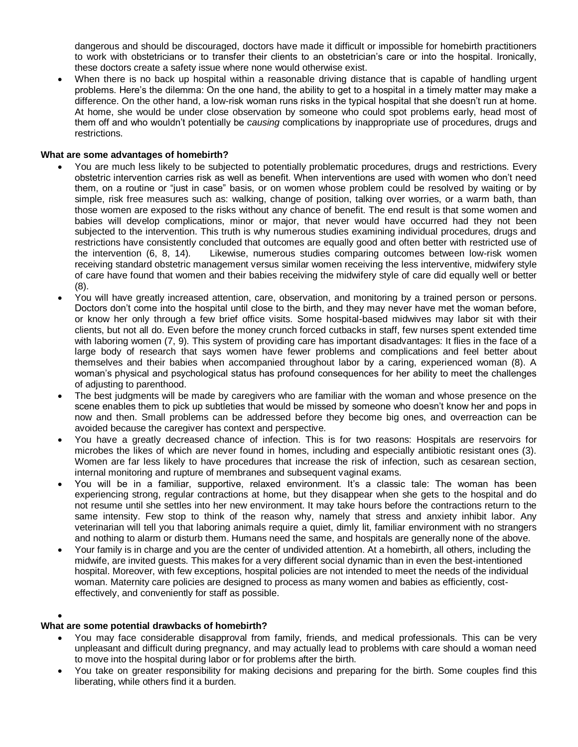dangerous and should be discouraged, doctors have made it difficult or impossible for homebirth practitioners to work with obstetricians or to transfer their clients to an obstetrician's care or into the hospital. Ironically, these doctors create a safety issue where none would otherwise exist.

When there is no back up hospital within a reasonable driving distance that is capable of handling urgent problems. Here's the dilemma: On the one hand, the ability to get to a hospital in a timely matter may make a difference. On the other hand, a low-risk woman runs risks in the typical hospital that she doesn't run at home. At home, she would be under close observation by someone who could spot problems early, head most of them off and who wouldn't potentially be *causing* complications by inappropriate use of procedures, drugs and restrictions.

# **What are some advantages of homebirth?**

- You are much less likely to be subjected to potentially problematic procedures, drugs and restrictions. Every obstetric intervention carries risk as well as benefit. When interventions are used with women who don't need them, on a routine or "just in case" basis, or on women whose problem could be resolved by waiting or by simple, risk free measures such as: walking, change of position, talking over worries, or a warm bath, than those women are exposed to the risks without any chance of benefit. The end result is that some women and babies will develop complications, minor or major, that never would have occurred had they not been subjected to the intervention. This truth is why numerous studies examining individual procedures, drugs and restrictions have consistently concluded that outcomes are equally good and often better with restricted use of the intervention (6, 8, 14). Likewise, numerous studies comparing outcomes between low-risk women receiving standard obstetric management versus similar women receiving the less interventive, midwifery style of care have found that women and their babies receiving the midwifery style of care did equally well or better (8).
- You will have greatly increased attention, care, observation, and monitoring by a trained person or persons. Doctors don't come into the hospital until close to the birth, and they may never have met the woman before, or know her only through a few brief office visits. Some hospital-based midwives may labor sit with their clients, but not all do. Even before the money crunch forced cutbacks in staff, few nurses spent extended time with laboring women (7, 9). This system of providing care has important disadvantages: It flies in the face of a large body of research that says women have fewer problems and complications and feel better about themselves and their babies when accompanied throughout labor by a caring, experienced woman (8). A woman's physical and psychological status has profound consequences for her ability to meet the challenges of adjusting to parenthood.
- The best judgments will be made by caregivers who are familiar with the woman and whose presence on the scene enables them to pick up subtleties that would be missed by someone who doesn't know her and pops in now and then. Small problems can be addressed before they become big ones, and overreaction can be avoided because the caregiver has context and perspective.
- You have a greatly decreased chance of infection. This is for two reasons: Hospitals are reservoirs for microbes the likes of which are never found in homes, including and especially antibiotic resistant ones (3). Women are far less likely to have procedures that increase the risk of infection, such as cesarean section, internal monitoring and rupture of membranes and subsequent vaginal exams.
- You will be in a familiar, supportive, relaxed environment. It's a classic tale: The woman has been experiencing strong, regular contractions at home, but they disappear when she gets to the hospital and do not resume until she settles into her new environment. It may take hours before the contractions return to the same intensity. Few stop to think of the reason why, namely that stress and anxiety inhibit labor. Any veterinarian will tell you that laboring animals require a quiet, dimly lit, familiar environment with no strangers and nothing to alarm or disturb them. Humans need the same, and hospitals are generally none of the above.
- Your family is in charge and you are the center of undivided attention. At a homebirth, all others, including the midwife, are invited guests. This makes for a very different social dynamic than in even the best-intentioned hospital. Moreover, with few exceptions, hospital policies are not intended to meet the needs of the individual woman. Maternity care policies are designed to process as many women and babies as efficiently, costeffectively, and conveniently for staff as possible.

#### $\bullet$

#### **What are some potential drawbacks of homebirth?**

- You may face considerable disapproval from family, friends, and medical professionals. This can be very unpleasant and difficult during pregnancy, and may actually lead to problems with care should a woman need to move into the hospital during labor or for problems after the birth.
- You take on greater responsibility for making decisions and preparing for the birth. Some couples find this liberating, while others find it a burden.